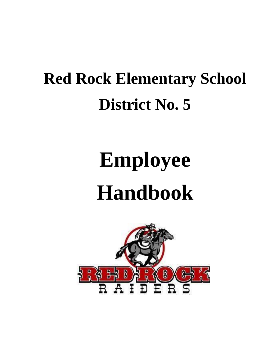## **Red Rock Elementary School District No. 5**

# **Employee Handbook**

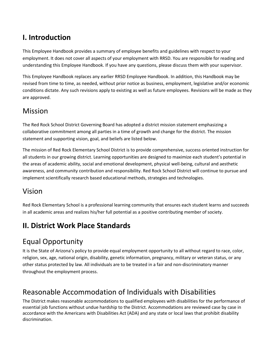## **I. Introduction**

This Employee Handbook provides a summary of employee benefits and guidelines with respect to your employment. It does not cover all aspects of your employment with RRSD. You are responsible for reading and understanding this Employee Handbook. If you have any questions, please discuss them with your supervisor.

This Employee Handbook replaces any earlier RRSD Employee Handbook. In addition, this Handbook may be revised from time to time, as needed, without prior notice as business, employment, legislative and/or economic conditions dictate. Any such revisions apply to existing as well as future employees. Revisions will be made as they are approved.

## Mission

The Red Rock School District Governing Board has adopted a district mission statement emphasizing a collaborative commitment among all parties in a time of growth and change for the district. The mission statement and supporting vision, goal, and beliefs are listed below.

The mission of Red Rock Elementary School District is to provide comprehensive, success oriented instruction for all students in our growing district. Learning opportunities are designed to maximize each student's potential in the areas of academic ability, social and emotional development, physical well-being, cultural and aesthetic awareness, and community contribution and responsibility. Red Rock School District will continue to pursue and implement scientifically research based educational methods, strategies and technologies.

## Vision

Red Rock Elementary School is a professional learning community that ensures each student learns and succeeds in all academic areas and realizes his/her full potential as a positive contributing member of society.

## **II. District Work Place Standards**

## Equal Opportunity

It is the State of Arizona's policy to provide equal employment opportunity to all without regard to race, color, religion, sex, age, national origin, disability, genetic information, pregnancy, military or veteran status, or any other status protected by law. All individuals are to be treated in a fair and non-discriminatory manner throughout the employment process.

## Reasonable Accommodation of Individuals with Disabilities

The District makes reasonable accommodations to qualified employees with disabilities for the performance of essential job functions without undue hardship to the District. Accommodations are reviewed case by case in accordance with the Americans with Disabilities Act (ADA) and any state or local laws that prohibit disability discrimination.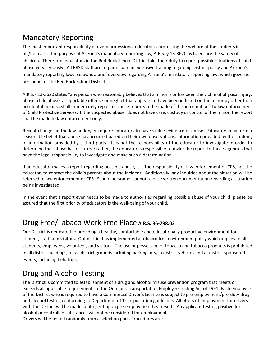## Mandatory Reporting

The most important responsibility of every professional educator is protecting the welfare of the students in his/her care. The purpose of Arizona's mandatory reporting law, A.R.S. § 13-3620, is to ensure the safety of children. Therefore, educators in the Red Rock School District take their duty to report possible situations of child abuse very seriously. All RRSD staff are to participate in extensive training regarding District policy and Arizona's mandatory reporting law. Below is a brief overview regarding Arizona's mandatory reporting law, which governs personnel of the Red Rock School District.

A.R.S. §13-3620 states "any person who reasonably believes that a minor is or has been the victim of physical injury, abuse, child abuse, a reportable offense or neglect that appears to have been inflicted on the minor by other than accidental means…shall immediately report or cause reports to be made of this information" to law enforcement of Child Protective Services. If the suspected abuser does not have care, custody or control of the minor, the report shall be made to law enforcement only.

Recent changes in the law no longer require educators to have visible evidence of abuse. Educators may form a reasonable belief that abuse has occurred based on their own observations, information provided by the student, or information provided by a third party. It is not the responsibility of the educator to investigate in order to determine that abuse has occurred; rather, the educator is responsible to make the report to those agencies that have the legal responsibility to investigate and make such a determination.

If an educator makes a report regarding possible abuse, it is the responsibility of law enforcement or CPS, not the educator, to contact the child's parents about the incident. Additionally, any inquiries about the situation will be referred to law enforcement or CPS. School personnel cannot release written documentation regarding a situation being investigated.

In the event that a report ever needs to be made to authorities regarding possible abuse of your child, please be assured that the first priority of educators is the well-being of your child.

## Drug Free/Tabaco Work Free Place **A.R.S. 36-798.03**

Our District is dedicated to providing a healthy, comfortable and educationally productive environment for student, staff, and visitors. Out district has implemented a tobacco free environment policy which applies to all students, employees, volunteer, and visitors. The use or possession of tobacco and tobacco products is prohibited in all district buildings, on all district grounds including parking lots, in district vehicles and at district sponsored events, including field trips.

## Drug and Alcohol Testing

The District is committed to establishment of a drug and alcohol misuse prevention program that meets or exceeds all applicable requirements of the Omnibus Transportation Employee Testing Act of 1991. Each employee of the District who is required to have a Commercial Driver's License is subject to pre-employment/pre-duty drug and alcohol testing conforming to Department of Transportation guidelines. All offers of employment for drivers with the District will be made contingent upon pre-employment test results. An applicant testing positive for alcohol or controlled substances will not be considered for employment. Drivers will be tested randomly from a selection pool. Procedures are: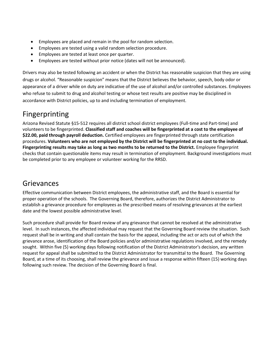- Employees are placed and remain in the pool for random selection.
- Employees are tested using a valid random selection procedure.
- Employees are tested at least once per quarter.
- Employees are tested without prior notice (dates will not be announced).

Drivers may also be tested following an accident or when the District has reasonable suspicion that they are using drugs or alcohol. "Reasonable suspicion" means that the District believes the behavior, speech, body odor or appearance of a driver while on duty are indicative of the use of alcohol and/or controlled substances. Employees who refuse to submit to drug and alcohol testing or whose test results are positive may be disciplined in accordance with District policies, up to and including termination of employment.

## Fingerprinting

Arizona Revised Statute §15-512 requires all district school district employees (Full-time and Part-time) and volunteers to be fingerprinted. **Classified staff and coaches will be fingerprinted at a cost to the employee of \$22.00, paid through payroll deduction.** Certified employees are fingerprinted through state certification procedures. **Volunteers who are not employed by the District will be fingerprinted at no cost to the individual. Fingerprinting results may take as long as two months to be returned to the District.** Employee fingerprint checks that contain questionable items may result in termination of employment. Background investigations must be completed prior to any employee or volunteer working for the RRSD.

## Grievances

Effective communication between District employees, the administrative staff, and the Board is essential for proper operation of the schools. The Governing Board, therefore, authorizes the District Administrator to establish a grievance procedure for employees as the prescribed means of resolving grievances at the earliest date and the lowest possible administrative level.

Such procedure shall provide for Board review of any grievance that cannot be resolved at the administrative level. In such instances, the affected individual may request that the Governing Board review the situation. Such request shall be in writing and shall contain the basis for the appeal, including the act or acts out of which the grievance arose, identification of the Board policies and/or administrative regulations involved, and the remedy sought. Within five (5) working days following notification of the District Administrator's decision, any written request for appeal shall be submitted to the District Administrator for transmittal to the Board. The Governing Board, at a time of its choosing, shall review the grievance and issue a response within fifteen (15) working days following such review. The decision of the Governing Board is final.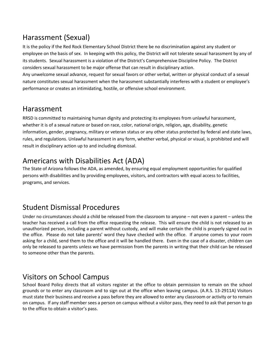## Harassment (Sexual)

It is the policy if the Red Rock Elementary School District there be no discrimination against any student or employee on the basis of sex. In keeping with this policy, the District will not tolerate sexual harassment by any of its students. Sexual harassment is a violation of the District's Comprehensive Discipline Policy. The District considers sexual harassment to be major offense that can result in disciplinary action.

Any unwelcome sexual advance, request for sexual favors or other verbal, written or physical conduct of a sexual nature constitutes sexual harassment when the harassment substantially interferes with a student or employee's performance or creates an intimidating, hostile, or offensive school environment.

## Harassment

RRSD is committed to maintaining human dignity and protecting its employees from unlawful harassment, whether it is of a sexual nature or based on race, color, national origin, religion, age, disability, genetic information, gender, pregnancy, military or veteran status or any other status protected by federal and state laws, rules, and regulations. Unlawful harassment in any form, whether verbal, physical or visual, is prohibited and will result in disciplinary action up to and including dismissal.

## Americans with Disabilities Act (ADA)

The State of Arizona follows the ADA, as amended, by ensuring equal employment opportunities for qualified persons with disabilities and by providing employees, visitors, and contractors with equal access to facilities, programs, and services.

## Student Dismissal Procedures

Under no circumstances should a child be released from the classroom to anyone – not even a parent – unless the teacher has received a call from the office requesting the release. This will ensure the child is not released to an unauthorized person, including a parent without custody, and will make certain the child is properly signed out in the office. Please do not take parents' word they have checked with the office. If anyone comes to your room asking for a child, send them to the office and it will be handled there. Even in the case of a disaster, children can only be released to parents unless we have permission from the parents in writing that their child can be released to someone other than the parents.

## Visitors on School Campus

School Board Policy directs that all visitors register at the office to obtain permission to remain on the school grounds or to enter any classroom and to sign out at the office when leaving campus. (A.R.S. 13-2911A) Visitors must state their business and receive a pass before they are allowed to enter any classroom or activity or to remain on campus. If any staff member sees a person on campus without a visitor pass, they need to ask that person to go to the office to obtain a visitor's pass.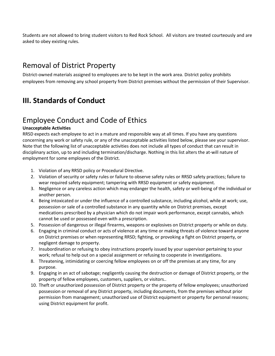Students are not allowed to bring student visitors to Red Rock School. All visitors are treated courteously and are asked to obey existing rules.

## Removal of District Property

District-owned materials assigned to employees are to be kept in the work area. District policy prohibits employees from removing any school property from District premises without the permission of their Supervisor.

## **III. Standards of Conduct**

## Employee Conduct and Code of Ethics

#### **Unacceptable Activities**

RRSD expects each employee to act in a mature and responsible way at all times. If you have any questions concerning any work or safety rule, or any of the unacceptable activities listed below, please see your supervisor. Note that the following list of unacceptable activities does not include all types of conduct that can result in disciplinary action, up to and including termination/discharge. Nothing in this list alters the at-will nature of employment for some employees of the District.

- 1. Violation of any RRSD policy or Procedural Directive.
- 2. Violation of security or safety rules or failure to observe safety rules or RRSD safety practices; failure to wear required safety equipment; tampering with RRSD equipment or safety equipment.
- 3. Negligence or any careless action which may endanger the health, safety or well-being of the individual or another person.
- 4. Being intoxicated or under the influence of a controlled substance, including alcohol, while at work; use, possession or sale of a controlled substance in any quantity while on District premises, except medications prescribed by a physician which do not impair work performance, except cannabis, which cannot be used or possessed even with a prescription.
- 5. Possession of dangerous or illegal firearms, weapons or explosives on District property or while on duty.
- 6. Engaging in criminal conduct or acts of violence at any time or making threats of violence toward anyone on District premises or when representing RRSD; fighting, or provoking a fight on District property, or negligent damage to property.
- 7. Insubordination or refusing to obey instructions properly issued by your supervisor pertaining to your work; refusal to help out on a special assignment or refusing to cooperate in investigations.
- 8. Threatening, intimidating or coercing fellow employees on or off the premises at any time, for any purpose.
- 9. Engaging in an act of sabotage; negligently causing the destruction or damage of District property, or the property of fellow employees, customers, suppliers, or visitors..
- 10. Theft or unauthorized possession of District property or the property of fellow employees; unauthorized possession or removal of any District property, including documents, from the premises without prior permission from management; unauthorized use of District equipment or property for personal reasons; using District equipment for profit.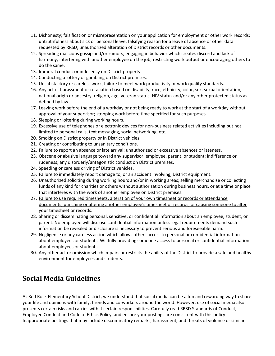- 11. Dishonesty; falsification or misrepresentation on your application for employment or other work records; untruthfulness about sick or personal leave; falsifying reason for a leave of absence or other data requested by RRSD; unauthorized alteration of District records or other documents.
- 12. Spreading malicious gossip and/or rumors; engaging in behavior which creates discord and lack of harmony; interfering with another employee on the job; restricting work output or encouraging others to do the same.
- 13. Immoral conduct or indecency on District property.
- 14. Conducting a lottery or gambling on District premises.
- 15. Unsatisfactory or careless work, failure to meet work productivity or work quality standards.
- 16. Any act of harassment or retaliation based on disability, race, ethnicity, color, sex, sexual orientation, national origin or ancestry, religion, age, veteran status, HIV status and/or any other protected status as defined by law.
- 17. Leaving work before the end of a workday or not being ready to work at the start of a workday without approval of your supervisor; stopping work before time specified for such purposes.
- 18. Sleeping or loitering during working hours.
- 19. Excessive use of telephones or electronic devices for non-business related activities including but not limited to personal calls, text messaging, social networking, etc. .
- 20. Smoking on District property or in District vehicles.
- 21. Creating or contributing to unsanitary conditions.
- 22. Failure to report an absence or late arrival; unauthorized or excessive absences or lateness.
- 23. Obscene or abusive language toward any supervisor, employee, parent, or student; indifference or rudeness; any disorderly/antagonistic conduct on District premises.
- 24. Speeding or careless driving of District vehicles.
- 25. Failure to immediately report damage to, or an accident involving, District equipment.
- 26. Unauthorized soliciting during working hours and/or in working areas; selling merchandise or collecting funds of any kind for charities or others without authorization during business hours, or at a time or place that interferes with the work of another employee on District premises.
- 27. Failure to use required timesheets, alteration of your own timesheet or records or attendance documents, punching or altering another employee's timesheet or records, or causing someone to alter your timesheet or records.
- 28. Sharing or disseminating personal, sensitive, or confidential information about an employee, student, or parent. No employee will disclose confidential information unless legal requirements demand such information be revealed or disclosure is necessary to prevent serious and foreseeable harm.
- 29. Negligence or any careless action which allows others access to personal or confidential information about employees or students. Willfully providing someone access to personal or confidential information about employees or students.
- 30. Any other act or omission which impairs or restricts the ability of the District to provide a safe and healthy environment for employees and students.

## **Social Media Guidelines**

At Red Rock Elementary School District, we understand that social media can be a fun and rewarding way to share your life and opinions with family, friends and co-workers around the world. However, use of social media also presents certain risks and carries with it certain responsibilities. Carefully read RRSD Standards of Conduct; Employee Conduct and Code of Ethics Policy, and ensure your postings are consistent with this policy. Inappropriate postings that may include discriminatory remarks, harassment, and threats of violence or similar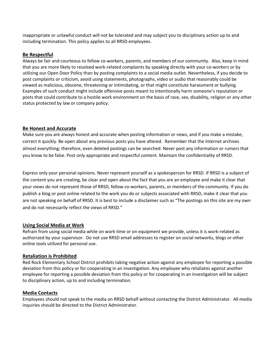inappropriate or unlawful conduct will not be tolerated and may subject you to disciplinary action up to and including termination. This policy applies to all RRSD employees.

#### **Be Respectful**

Always be fair and courteous to fellow co-workers, parents, and members of our community. Also, keep in mind that you are more likely to resolved work-related complaints by speaking directly with your co-workers or by utilizing our Open Door Policy than by posting complaints to a social media outlet. Nevertheless, if you decide to post complaints or criticism, avoid using statements, photographs, video or audio that reasonably could be viewed as malicious, obscene, threatening or intimidating, or that might constitute harassment or bullying. Examples of such conduct might include offensive posts meant to intentionally harm someone's reputation or posts that could contribute to a hostile work environment on the basis of race, sex, disability, religion or any other status protected by law or company policy.

#### **Be Honest and Accurate**

Make sure you are always honest and accurate when posting information or news, and if you make a mistake, correct it quickly. Be open about any previous posts you have altered. Remember that the Internet archives almost everything; therefore, even deleted postings can be searched. Never post any information or rumors that you know to be false. Post only appropriate and respectful content. Maintain the confidentiality of RRSD.

Express only your personal opinions. Never represent yourself as a spokesperson for RRSD. If RRSD is a subject of the content you are creating, be clear and open about the fact that you are an employee and make it clear that your views do not represent those of RRSD, fellow co-workers, parents, or members of the community. If you do publish a blog or post online related to the work you do or subjects associated with RRSD, make it clear that you are not speaking on behalf of RRSD. It is best to include a disclaimer such as "The postings on this site are my own and do not necessarily reflect the views of RRSD."

#### **Using Social Media at Work**

Refrain from using social media while on work time or on equipment we provide, unless it is work-related as authorized by your supervisor. Do not use RRSD email addresses to register on social networks, blogs or other online tools utilized for personal use.

#### **Retaliation is Prohibited**

Red Rock Elementary School District prohibits taking negative action against any employee for reporting a possible deviation from this policy or for cooperating in an investigation. Any employee who retaliates against another employee for reporting a possible deviation from this policy or for cooperating in an investigation will be subject to disciplinary action, up to and including termination.

#### **Media Contacts**

Employees should not speak to the media on RRSD behalf without contacting the District Administrator. All media inquiries should be directed to the District Administrator.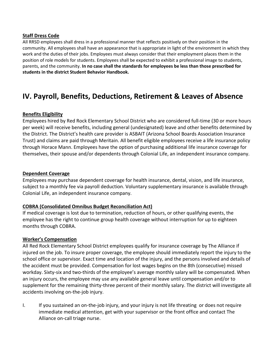#### **Staff Dress Code**

All RRSD employees shall dress in a professional manner that reflects positively on their position in the community. All employees shall have an appearance that is appropriate in light of the environment in which they work and the duties of their jobs. Employees must always consider that their employment places them in the position of role models for students. Employees shall be expected to exhibit a professional image to students, parents, and the community. **In no case shall the standards for employees be less than those prescribed for students in the district Student Behavior Handbook.**

## **IV. Payroll, Benefits, Deductions, Retirement & Leaves of Absence**

#### **Benefits Eligibility**

Employees hired by Red Rock Elementary School District who are considered full-time (30 or more hours per week) will receive benefits, including general (undesignated) leave and other benefits determined by the District. The District's health care provider is ASBAIT (Arizona School Boards Association Insurance Trust) and claims are paid through Meritain. All benefit eligible employees receive a life insurance policy through Horace Mann. Employees have the option of purchasing additional life insurance coverage for themselves, their spouse and/or dependents through Colonial Life, an independent insurance company.

#### **Dependent Coverage**

Employees may purchase dependent coverage for health insurance, dental, vision, and life insurance, subject to a monthly fee via payroll deduction. Voluntary supplementary insurance is available through Colonial Life, an independent insurance company.

#### **COBRA (Consolidated Omnibus Budget Reconciliation Act)**

If medical coverage is lost due to termination, reduction of hours, or other qualifying events, the employee has the right to continue group health coverage without interruption for up to eighteen months through COBRA.

#### **Worker's Compensation**

All Red Rock Elementary School District employees qualify for insurance coverage by The Alliance if injured on the job. To insure proper coverage, the employee should immediately report the injury to the school office or supervisor. Exact time and location of the injury, and the persons involved and details of the accident must be provided. Compensation for lost wages begins on the 8th (consecutive) missed workday. Sixty-six and two-thirds of the employee's average monthly salary will be compensated. When an injury occurs, the employee may use any available general leave until compensation and/or to supplement for the remaining thirty-three percent of their monthly salary. The district will investigate all accidents involving on-the-job injury.

I. If you sustained an on-the-job injury, and your injury is not life threating or does not require immediate medical attention, get with your supervisor or the front office and contact The Alliance on-call triage nurse.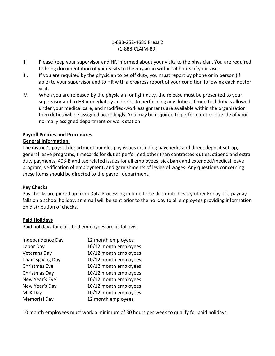#### 1-888-252-4689 Press 2 (1-888-CLAIM-89)

- II. Please keep your supervisor and HR informed about your visits to the physician. You are required to bring documentation of your visits to the physician within 24 hours of your visit.
- III. If you are required by the physician to be off duty, you must report by phone or in person (if able) to your supervisor and to HR with a progress report of your condition following each doctor visit.
- IV. When you are released by the physician for light duty, the release must be presented to your supervisor and to HR immediately and prior to performing any duties. If modified duty is allowed under your medical care, and modified-work assignments are available within the organization then duties will be assigned accordingly. You may be required to perform duties outside of your normally assigned department or work station.

#### **Payroll Policies and Procedures**

#### **General Information:**

The district's payroll department handles pay issues including paychecks and direct deposit set-up, general leave programs, timecards for duties performed other than contracted duties, stipend and extra duty payments, 403-B and tax related issues for all employees, sick bank and extended/medical leave program, verification of employment, and garnishments of levies of wages. Any questions concerning these items should be directed to the payroll department.

#### **Pay Checks**

Pay checks are picked up from Data Processing in time to be distributed every other Friday. If a payday falls on a school holiday, an email will be sent prior to the holiday to all employees providing information on distribution of checks.

#### **Paid Holidays**

Paid holidays for classified employees are as follows:

| Independence Day    | 12 month employees    |
|---------------------|-----------------------|
| Labor Day           | 10/12 month employees |
| <b>Veterans Day</b> | 10/12 month employees |
| Thanksgiving Day    | 10/12 month employees |
| Christmas Eve       | 10/12 month employees |
| Christmas Day       | 10/12 month employees |
| New Year's Eve      | 10/12 month employees |
| New Year's Day      | 10/12 month employees |
| <b>MLK Day</b>      | 10/12 month employees |
| <b>Memorial Day</b> | 12 month employees    |

10 month employees must work a minimum of 30 hours per week to qualify for paid holidays.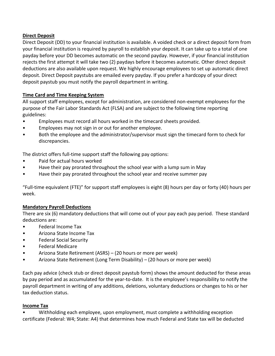#### **Direct Deposit**

Direct Deposit (DD) to your financial institution is available. A voided check or a direct deposit form from your financial institution is required by payroll to establish your deposit. It can take up to a total of one payday before your DD becomes automatic on the second payday. However, if your financial institution rejects the first attempt it will take two (2) paydays before it becomes automatic. Other direct deposit deductions are also available upon request. We highly encourage employees to set up automatic direct deposit. Direct Deposit paystubs are emailed every payday. If you prefer a hardcopy of your direct deposit paystub you must notify the payroll department in writing.

#### **Time Card and Time Keeping System**

All support staff employees, except for administration, are considered non-exempt employees for the purpose of the Fair Labor Standards Act (FLSA) and are subject to the following time reporting guidelines:

- Employees must record all hours worked in the timecard sheets provided.
- Employees may not sign in or out for another employee.
- Both the employee and the administrator/supervisor must sign the timecard form to check for discrepancies.

The district offers full-time support staff the following pay options:

- Paid for actual hours worked
- Have their pay prorated throughout the school year with a lump sum in May
- Have their pay prorated throughout the school year and receive summer pay

"Full-time equivalent (FTE)" for support staff employees is eight (8) hours per day or forty (40) hours per week.

#### **Mandatory Payroll Deductions**

There are six (6) mandatory deductions that will come out of your pay each pay period. These standard deductions are:

- Federal Income Tax
- Arizona State Income Tax
- Federal Social Security
- Federal Medicare
- Arizona State Retirement (ASRS) (20 hours or more per week)
- Arizona State Retirement (Long Term Disability) (20 hours or more per week)

Each pay advice (check stub or direct deposit paystub form) shows the amount deducted for these areas by pay period and as accumulated for the year-to-date. It is the employee's responsibility to notify the payroll department in writing of any additions, deletions, voluntary deductions or changes to his or her tax deduction status.

#### **Income Tax**

• Withholding each employee, upon employment, must complete a withholding exception certificate (Federal: W4; State: A4) that determines how much Federal and State tax will be deducted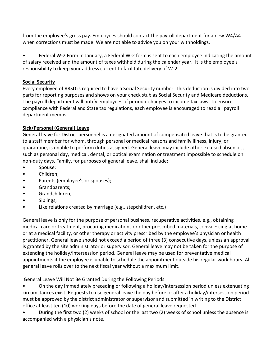from the employee's gross pay. Employees should contact the payroll department for a new W4/A4 when corrections must be made. We are not able to advice you on your withholdings.

• Federal W-2 Form in January, a Federal W-2 form is sent to each employee indicating the amount of salary received and the amount of taxes withheld during the calendar year. It is the employee's responsibility to keep your address current to facilitate delivery of W-2.

#### **Social Security**

Every employee of RRSD is required to have a Social Security number. This deduction is divided into two parts for reporting purposes and shows on your check stub as Social Security and Medicare deductions. The payroll department will notify employees of periodic changes to income tax laws. To ensure compliance with Federal and State tax regulations, each employee is encouraged to read all payroll department memos.

#### **Sick/Personal (General) Leave**

General leave for District personnel is a designated amount of compensated leave that is to be granted to a staff member for whom, through personal or medical reasons and family illness, injury, or quarantine, is unable to perform duties assigned. General leave may include other excused absences, such as personal day, medical, dental, or optical examination or treatment impossible to schedule on non-duty days. Family, for purposes of general leave, shall include:

- Spouse;
- Children;
- Parents (employee's or spouses);
- Grandparents;
- Grandchildren;
- Siblings;
- Like relations created by marriage (e.g., stepchildren, etc.)

General leave is only for the purpose of personal business, recuperative activities, e.g., obtaining medical care or treatment, procuring medications or other prescribed materials, convalescing at home or at a medical facility, or other therapy or activity prescribed by the employee's physician or health practitioner. General leave should not exceed a period of three (3) consecutive days, unless an approval is granted by the site administrator or supervisor. General leave may not be taken for the purpose of extending the holiday/intersession period. General leave may be used for preventative medical appointments if the employee is unable to schedule the appointment outside his regular work hours. All general leave rolls over to the next fiscal year without a maximum limit.

General Leave Will Not Be Granted During the Following Periods:

• On the day immediately preceding or following a holiday/intersession period unless extenuating circumstances exist. Requests to use general leave the day before or after a holiday/intersession period must be approved by the district administrator or supervisor and submitted in writing to the District office at least ten (10) working days before the date of general leave requested.

• During the first two (2) weeks of school or the last two (2) weeks of school unless the absence is accompanied with a physician's note.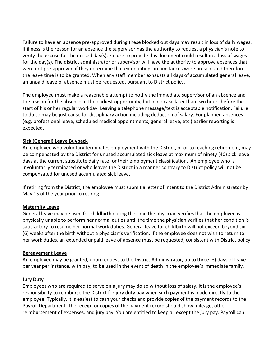Failure to have an absence pre-approved during these blocked out days may result in loss of daily wages. If illness is the reason for an absence the supervisor has the authority to request a physician's note to verify the excuse for the missed day(s). Failure to provide this document could result in a loss of wages for the day(s). The district administrator or supervisor will have the authority to approve absences that were not pre-approved if they determine that extenuating circumstances were present and therefore the leave time is to be granted. When any staff member exhausts all days of accumulated general leave, an unpaid leave of absence must be requested, pursuant to District policy.

The employee must make a reasonable attempt to notify the immediate supervisor of an absence and the reason for the absence at the earliest opportunity, but in no case later than two hours before the start of his or her regular workday. Leaving a telephone message/text is acceptable notification. Failure to do so may be just cause for disciplinary action including deduction of salary. For planned absences (e.g. professional leave, scheduled medical appointments, general leave, etc.) earlier reporting is expected.

#### **Sick (General) Leave Buyback**

An employee who voluntary terminates employment with the District, prior to reaching retirement, may be compensated by the District for unused accumulated sick leave at maximum of ninety (40) sick leave days at the current substitute daily rate for their employment classification. An employee who is involuntarily terminated or who leaves the District in a manner contrary to District policy will not be compensated for unused accumulated sick leave.

If retiring from the District, the employee must submit a letter of intent to the District Administrator by May 15 of the year prior to retiring.

#### **Maternity Leave**

General leave may be used for childbirth during the time the physician verifies that the employee is physically unable to perform her normal duties until the time the physician verifies that her condition is satisfactory to resume her normal work duties. General leave for childbirth will not exceed beyond six (6) weeks after the birth without a physician's verification. If the employee does not wish to return to her work duties, an extended unpaid leave of absence must be requested, consistent with District policy.

#### **Bereavement Leave**

An employee may be granted, upon request to the District Administrator, up to three (3) days of leave per year per instance, with pay, to be used in the event of death in the employee's immediate family.

#### **Jury Duty**

Employees who are required to serve on a jury may do so without loss of salary. It is the employee's responsibility to reimburse the District for jury duty pay when such payment is made directly to the employee. Typically, it is easiest to cash your checks and provide copies of the payment records to the Payroll Department. The receipt or copies of the payment record should show mileage, other reimbursement of expenses, and jury pay. You are entitled to keep all except the jury pay. Payroll can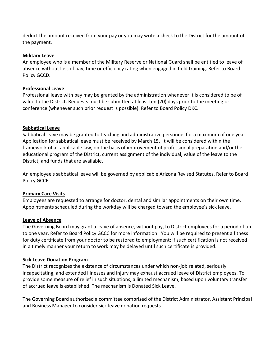deduct the amount received from your pay or you may write a check to the District for the amount of the payment.

#### **Military Leave**

An employee who is a member of the Military Reserve or National Guard shall be entitled to leave of absence without loss of pay, time or efficiency rating when engaged in field training. Refer to Board Policy GCCD.

#### **Professional Leave**

Professional leave with pay may be granted by the administration whenever it is considered to be of value to the District. Requests must be submitted at least ten (20) days prior to the meeting or conference (whenever such prior request is possible). Refer to Board Policy DKC.

#### **Sabbatical Leave**

Sabbatical leave may be granted to teaching and administrative personnel for a maximum of one year. Application for sabbatical leave must be received by March 15. It will be considered within the framework of all applicable law, on the basis of improvement of professional preparation and/or the educational program of the District, current assignment of the individual, value of the leave to the District, and funds that are available.

An employee's sabbatical leave will be governed by applicable Arizona Revised Statutes. Refer to Board Policy GCCF.

#### **Primary Care Visits**

Employees are requested to arrange for doctor, dental and similar appointments on their own time. Appointments scheduled during the workday will be charged toward the employee's sick leave.

#### **Leave of Absence**

The Governing Board may grant a leave of absence, without pay, to District employees for a period of up to one year. Refer to Board Policy GCCC for more information. You will be required to present a fitness for duty certificate from your doctor to be restored to employment; if such certification is not received in a timely manner your return to work may be delayed until such certificate is provided.

#### **Sick Leave Donation Program**

The District recognizes the existence of circumstances under which non-job related, seriously incapacitating, and extended illnesses and injury may exhaust accrued leave of District employees. To provide some measure of relief in such situations, a limited mechanism, based upon voluntary transfer of accrued leave is established. The mechanism is Donated Sick Leave.

The Governing Board authorized a committee comprised of the District Administrator, Assistant Principal and Business Manager to consider sick leave donation requests.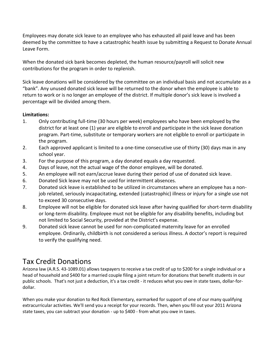Employees may donate sick leave to an employee who has exhausted all paid leave and has been deemed by the committee to have a catastrophic health issue by submitting a Request to Donate Annual Leave Form.

When the donated sick bank becomes depleted, the human resource/payroll will solicit new contributions for the program in order to replenish.

Sick leave donations will be considered by the committee on an individual basis and not accumulate as a "bank". Any unused donated sick leave will be returned to the donor when the employee is able to return to work or is no longer an employee of the district. If multiple donor's sick leave is involved a percentage will be divided among them.

#### **Limitations:**

- 1. Only contributing full-time (30 hours per week) employees who have been employed by the district for at least one (1) year are eligible to enroll and participate in the sick leave donation program. Part-time, substitute or temporary workers are not eligible to enroll or participate in the program.
- 2. Each approved applicant is limited to a one-time consecutive use of thirty (30) days max in any school year.
- 3. For the purpose of this program, a day donated equals a day requested.
- 4. Days of leave, not the actual wage of the donor employee, will be donated.
- 5. An employee will not earn/accrue leave during their period of use of donated sick leave.
- 6. Donated Sick leave may not be used for intermittent absences.
- 7. Donated sick leave is established to be utilized in circumstances where an employee has a nonjob related, seriously incapacitating, extended (catastrophic) illness or injury for a single use not to exceed 30 consecutive days.
- 8. Employee will not be eligible for donated sick leave after having qualified for short-term disability or long-term disability. Employee must not be eligible for any disability benefits, including but not limited to Social Security, provided at the District's expense.
- 9. Donated sick leave cannot be used for non-complicated maternity leave for an enrolled employee. Ordinarily, childbirth is not considered a serious illness. A doctor's report is required to verify the qualifying need.

## Tax Credit Donations

Arizona law [\(A.R.S. 43-1089.01\)](http://www.azleg.state.az.us/ars/43/01089-01.htm) allows taxpayers to receive a tax credit of up to \$200 for a single individual or a head of household and \$400 for a married couple filing a joint return for donations that benefit students in our public schools. That's not just a deduction, it's a tax credit - it reduces what you owe in state taxes, dollar-fordollar.

When you make your donation to Red Rock Elementary, earmarked for support of one of our many qualifying extracurricular activities. We'll send you a receipt for your records. Then, when you fill out your 2011 Arizona state taxes, you can subtract your donation - up to \$400 - from what you owe in taxes.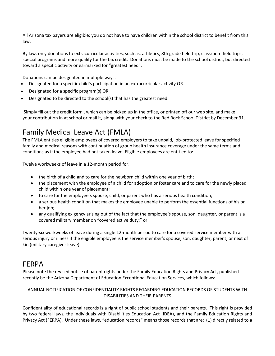All Arizona tax payers are eligible: you do not have to have children within the school district to benefit from this law.

By law, only donations to extracurricular activities, such as, athletics, 8th grade field trip, classroom field trips, special programs and more qualify for the tax credit. Donations must be made to the school district, but directed toward a specific activity or earmarked for "greatest need".

Donations can be designated in multiple ways:

- Designated for a specific child's participation in an extracurricular activity OR
- Designated for a specific program(s) OR
- Designated to be directed to the school(s) that has the greatest need.

Simply fill out the [credit form](http://www.maranausd.org/DocumentView.aspx?DID=6674) , which can be picked up in the office, or printed off our web site, and make your contribution in at school or mail it, along with your check to the Red Rock School District by December 31.

## Family Medical Leave Act (FMLA)

The FMLA entitles eligible employees of covered employers to take unpaid, job-protected leave for specified family and medical reasons with continuation of group health insurance coverage under the same terms and conditions as if the employee had not taken leave. Eligible employees are entitled to:

Twelve workweeks of leave in a 12-month period for:

- the birth of a child and to care for the newborn child within one year of birth;
- the placement with the employee of a child for adoption or foster care and to care for the newly placed child within one year of placement;
- to care for the employee's spouse, child, or parent who has a serious health condition;
- a serious health condition that makes the employee unable to perform the essential functions of his or her job;
- any qualifying exigency arising out of the fact that the employee's spouse, son, daughter, or parent is a covered military member on "covered active duty;" or

Twenty-six workweeks of leave during a single 12-month period to care for a covered service member with a serious injury or illness if the eligible employee is the service member's spouse, son, daughter, parent, or next of kin (military caregiver leave).

## FERPA

Please note the revised notice of parent rights under the Family Education Rights and Privacy Act, published recently be the Arizona Department of Education Exceptional Education Services, which follows:

#### ANNUAL NOTIFICATION OF CONFIDENTIALITY RIGHTS REGARDING EDUCATION RECORDS OF STUDENTS WITH DISABILITIES AND THEIR PARENTS

Confidentiality of educational records is a right of public school students and their parents. This right is provided by two federal laws, the Individuals with Disabilities Education Act (IDEA), and the Family Education Rights and Privacy Act (FERPA). Under these laws, "education records" means those records that are: (1) directly related to a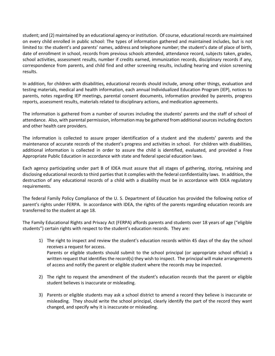student; and (2) maintained by an educational agency or institution. Of course, educational records are maintained on every child enrolled in public school: The types of information gathered and maintained includes, but is not limited to: the student's and parents' names, address and telephone number; the student's date of place of birth, date of enrollment in school, records from previous schools attended, attendance record, subjects taken, grades, school activities, assessment results, number if credits earned, immunization records, disciplinary records if any, correspondence from parents, and child find and other screening results, including hearing and vision screening results.

In addition, for children with disabilities, educational records should include, among other things, evaluation and testing materials, medical and health information, each annual Individualized Education Program (IEP), notices to parents, notes regarding IEP meetings, parental consent documents, information provided by parents, progress reports, assessment results, materials related to disciplinary actions, and medication agreements.

The information is gathered from a number of sources including the students' parents and the staff of school of attendance. Also, with parental permission, information may be gathered from additional sources including doctors and other health care providers.

The information is collected to assure proper identification of a student and the students' parents and the maintenance of accurate records of the student's progress and activities in school. For children with disabilities, additional information is collected in order to assure the child is identified, evaluated, and provided a Free Appropriate Public Education in accordance with state and federal special education laws.

Each agency participating under part B of IDEA must assure that all stages of gathering, storing, retaining and disclosing educational records to third parties that it complies with the federal confidentiality laws. In addition, the destruction of any educational records of a child with a disability must be in accordance with IDEA regulatory requirements.

The federal Family Policy Compliance of the U. S. Department of Education has provided the following notice of parent's rights under FERPA. In accordance with IDEA, the rights of the parents regarding education records are transferred to the student at age 18.

The Family Educational Rights and Privacy Act (FERPA) affords parents and students over 18 years of age ("eligible students") certain rights with respect to the student's education records. They are:

- 1) The right to inspect and review the student's education records within 45 days of the day the school receives a request for access. Parents or eligible students should submit to the school principal (or appropriate school official) a written request that identifies the record(s) they wish to inspect. The principal will make arrangements of access and notify the parent or eligible student where the records may be inspected.
- 2) The right to request the amendment of the student's education records that the parent or eligible student believes is inaccurate or misleading.
- 3) Parents or eligible students may ask a school district to amend a record they believe is inaccurate or misleading. They should write the school principal, clearly identify the part of the record they want changed, and specify why it is inaccurate or misleading.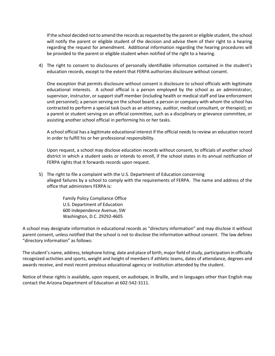If the school decided not to amend the records as requested by the parent or eligible student, the school will notify the parent or eligible student of the decision and advise them of their right to a hearing regarding the request for amendment. Additional information regarding the hearing procedures will be provided to the parent or eligible student when notified of the right to a hearing.

4) The right to consent to disclosures of personally identifiable information contained in the student's education records, except to the extent that FERPA authorizes disclosure without consent.

One exception that permits disclosure without consent is disclosure to school officials with legitimate educational interests. A school official is a person employed by the school as an administrator, supervisor, instructor, or support staff member (including health or medical staff and law enforcement unit personnel); a person serving on the school board; a person or company with whom the school has contracted to perform a special task (such as an attorney, auditor, medical consultant, or therapist); or a parent or student serving on an official committee, such as a disciplinary or grievance committee, or assisting another school official in performing his or her tasks.

A school official has a legitimate educational interest if the official needs to review an education record in order to fulfill his or her professional responsibility.

Upon request, a school may disclose education records without consent, to officials of another school district in which a student seeks or intends to enroll, if the school states in its annual notification of FERPA rights that it forwards records upon request.

5) The right to file a complaint with the U.S. Department of Education concerning alleged failures by a school to comply with the requirements of FERPA. The name and address of the office that administers FERPA is:

> Family Policy Compliance Office U.S. Department of Education 600 Independence Avenue, SW Washington, D.C. 29292-4605

A school may designate information in educational records as "directory information" and may disclose it without parent consent, unless notified that the school is not to disclose the information without consent. The law defines "directory information" as follows:

The student's name, address, telephone listing, date and place of birth, major field of study, participation in officially recognized activities and sports, weight and height of members if athletic teams, dates of attendance, degrees and awards receive, and most recent previous educational agency or institution attended by the student.

Notice of these rights is available, upon request, on audiotape, in Braille, and in languages other than English may contact the Arizona Department of Education at 602-542-3111.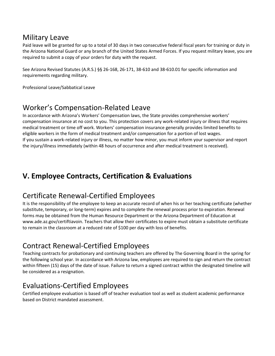## Military Leave

Paid leave will be granted for up to a total of 30 days in two consecutive federal fiscal years for training or duty in the Arizona National Guard or any branch of the United States Armed Forces. If you request military leave, you are required to submit a copy of your orders for duty with the request.

See Arizona Revised Statutes (A.R.S.) §§ 26-168, 26-171, 38-610 and 38-610.01 for specific information and requirements regarding military.

Professional Leave/Sabbatical Leave

## Worker's Compensation-Related Leave

In accordance with Arizona's Workers' Compensation laws, the State provides comprehensive workers' compensation insurance at no cost to you. This protection covers any work-related injury or illness that requires medical treatment or time off work. Workers' compensation insurance generally provides limited benefits to eligible workers in the form of medical treatment and/or compensation for a portion of lost wages. If you sustain a work-related injury or illness, no matter how minor, you must inform your supervisor and report the injury/illness immediately (within 48 hours of occurrence and after medical treatment is received).

## **V. Employee Contracts, Certification & Evaluations**

## Certificate Renewal-Certified Employees

It is the responsibility of the employee to keep an accurate record of when his or her teaching certificate (whether substitute, temporary, or long-term) expires and to complete the renewal process prior to expiration. Renewal forms may be obtained from the Human Resource Department or the Arizona Department of Education at [www.ade.az.gov/certiftiavoin.](http://www.ade.az.gov/certiftiavoin) Teachers that allow their certificates to expire must obtain a substitute certificate to remain in the classroom at a reduced rate of \$100 per day with loss of benefits.

## Contract Renewal-Certified Employees

Teaching contracts for probationary and continuing teachers are offered by The Governing Board in the spring for the following school year. In accordance with Arizona law, employees are required to sign and return the contract within fifteen (15) days of the date of issue. Failure to return a signed contract within the designated timeline will be considered as a resignation.

## Evaluations-Certified Employees

Certified employee evaluation is based off of teacher evaluation tool as well as student academic performance based on District mandated assessment.